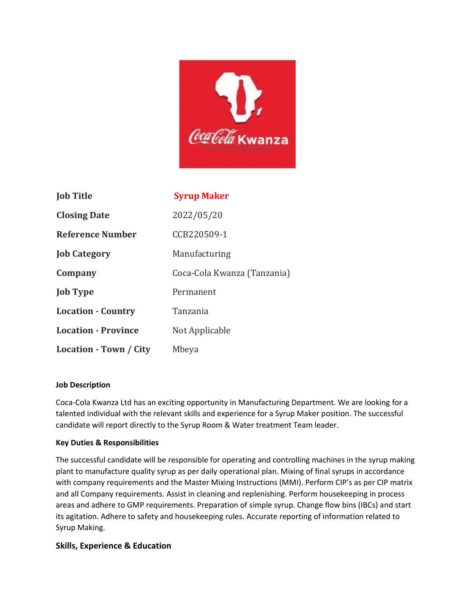

| <b>Job Title</b>           | <b>Syrup Maker</b>          |
|----------------------------|-----------------------------|
| <b>Closing Date</b>        | 2022/05/20                  |
| <b>Reference Number</b>    | CCB220509-1                 |
| <b>Job Category</b>        | Manufacturing               |
| Company                    | Coca-Cola Kwanza (Tanzania) |
| <b>Job Type</b>            | Permanent                   |
| <b>Location - Country</b>  | Tanzania                    |
| <b>Location - Province</b> | Not Applicable              |
| Location - Town / City     | Mbeya                       |

## **Job Description**

Coca-Cola Kwanza Ltd has an exciting opportunity in Manufacturing Department. We are looking for a talented individual with the relevant skills and experience for a Syrup Maker position. The successful candidate will report directly to the Syrup Room & Water treatment Team leader.

## **Key Duties & Responsibilities**

The successful candidate will be responsible for operating and controlling machines in the syrup making plant to manufacture quality syrup as per daily operational plan. Mixing of final syrups in accordance with company requirements and the Master Mixing Instructions (MMI). Perform CIP's as per CIP matrix and all Company requirements. Assist in cleaning and replenishing. Perform housekeeping in process areas and adhere to GMP requirements. Preparation of simple syrup. Change flow bins (IBCs) and start its agitation. Adhere to safety and housekeeping rules. Accurate reporting of information related to Syrup Making.

## **Skills, Experience & Education**